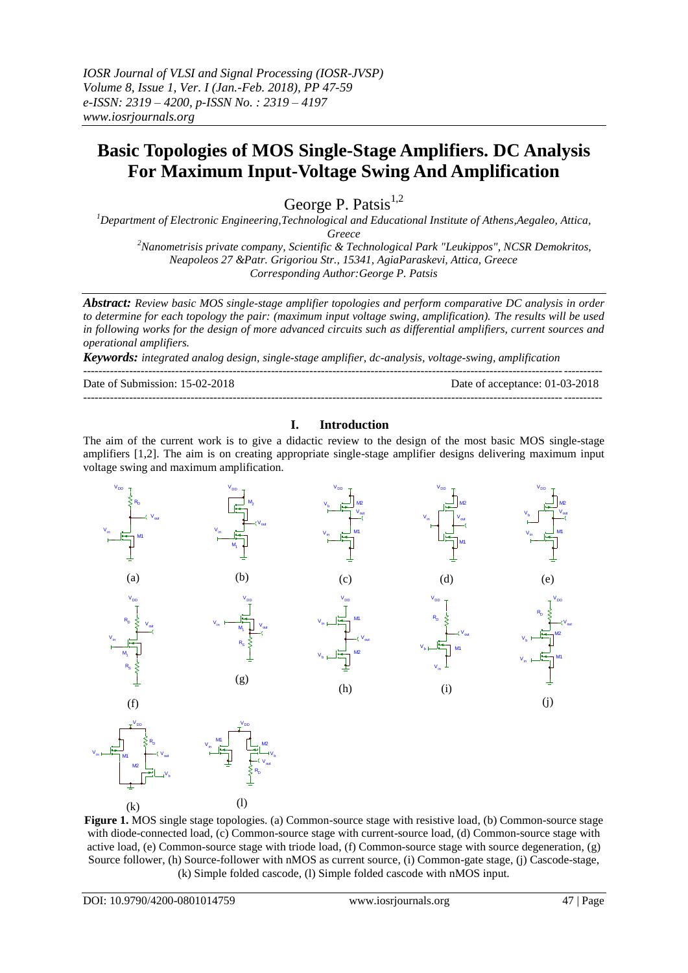# **Basic Topologies of MOS Single-Stage Amplifiers. DC Analysis For Maximum Input-Voltage Swing And Amplification**

George P. Patsis $^{1,2}$ 

*<sup>1</sup>Department of Electronic Engineering,Technological and Educational Institute of Athens,Aegaleo, Attica, Greece <sup>2</sup>Nanometrisis private company, Scientific & Technological Park "Leukippos", NCSR Demokritos, Neapoleos 27 &Patr. Grigoriou Str., 15341, AgiaParaskevi, Attica, Greece*

*Corresponding Author:George P. Patsis*

*Abstract: Review basic MOS single-stage amplifier topologies and perform comparative DC analysis in order to determine for each topology the pair: (maximum input voltage swing, amplification). The results will be used in following works for the design of more advanced circuits such as differential amplifiers, current sources and operational amplifiers.* 

---------------------------------------------------------------------------------------------------------------------------------------

*Keywords: integrated analog design, single-stage amplifier, dc-analysis, voltage-swing, amplification*

Date of Submission: 15-02-2018 Date of acceptance: 01-03-2018 ---------------------------------------------------------------------------------------------------------------------------------------

## **I. Introduction**

The aim of the current work is to give a didactic review to the design of the most basic MOS single-stage amplifiers [1,2]. The aim is on creating appropriate single-stage amplifier designs delivering maximum input voltage swing and maximum amplification.



**Figure 1.** MOS single stage topologies. (a) Common-source stage with resistive load, (b) Common-source stage with diode-connected load, (c) Common-source stage with current-source load, (d) Common-source stage with active load, (e) Common-source stage with triode load, (f) Common-source stage with source degeneration, (g) Source follower, (h) Source-follower with nMOS as current source, (i) Common-gate stage, (j) Cascode-stage, (k) Simple folded cascode, (l) Simple folded cascode with nMOS input.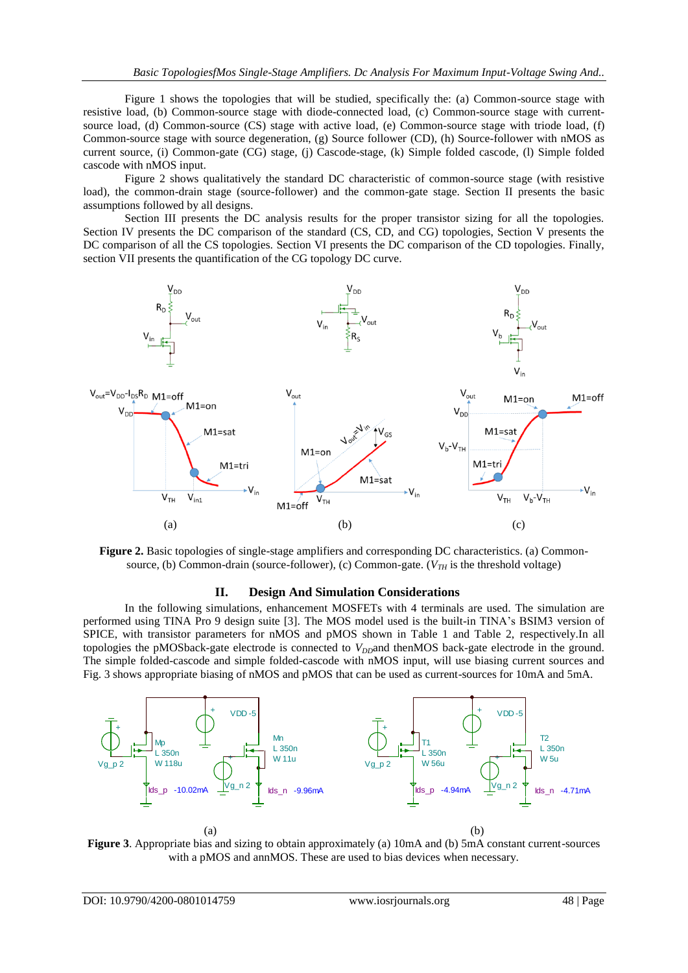Figure 1 shows the topologies that will be studied, specifically the: (a) Common-source stage with resistive load, (b) Common-source stage with diode-connected load, (c) Common-source stage with currentsource load, (d) Common-source (CS) stage with active load, (e) Common-source stage with triode load, (f) Common-source stage with source degeneration, (g) Source follower (CD), (h) Source-follower with nMOS as current source, (i) Common-gate (CG) stage, (j) Cascode-stage, (k) Simple folded cascode, (l) Simple folded cascode with nMOS input.

Figure 2 shows qualitatively the standard DC characteristic of common-source stage (with resistive load), the common-drain stage (source-follower) and the common-gate stage. Section II presents the basic assumptions followed by all designs.

Section III presents the DC analysis results for the proper transistor sizing for all the topologies. Section IV presents the DC comparison of the standard (CS, CD, and CG) topologies, Section V presents the DC comparison of all the CS topologies. Section VI presents the DC comparison of the CD topologies. Finally, section VII presents the quantification of the CG topology DC curve.





#### **II. Design And Simulation Considerations**

In the following simulations, enhancement MOSFETs with 4 terminals are used. The simulation are performed using TINA Pro 9 design suite [3]. The MOS model used is the built-in TINA's BSIM3 version of SPICE, with transistor parameters for nMOS and pMOS shown in Table 1 and Table 2, respectively.In all topologies the pMOSback-gate electrode is connected to  $V_{D}$ *D*and thenMOS back-gate electrode in the ground. The simple folded-cascode and simple folded-cascode with nMOS input, will use biasing current sources and Fig. 3 shows appropriate biasing of nMOS and pMOS that can be used as current-sources for 10mA and 5mA.



**Figure 3**. Appropriate bias and sizing to obtain approximately (a) 10mA and (b) 5mA constant current-sources with a pMOS and annMOS. These are used to bias devices when necessary.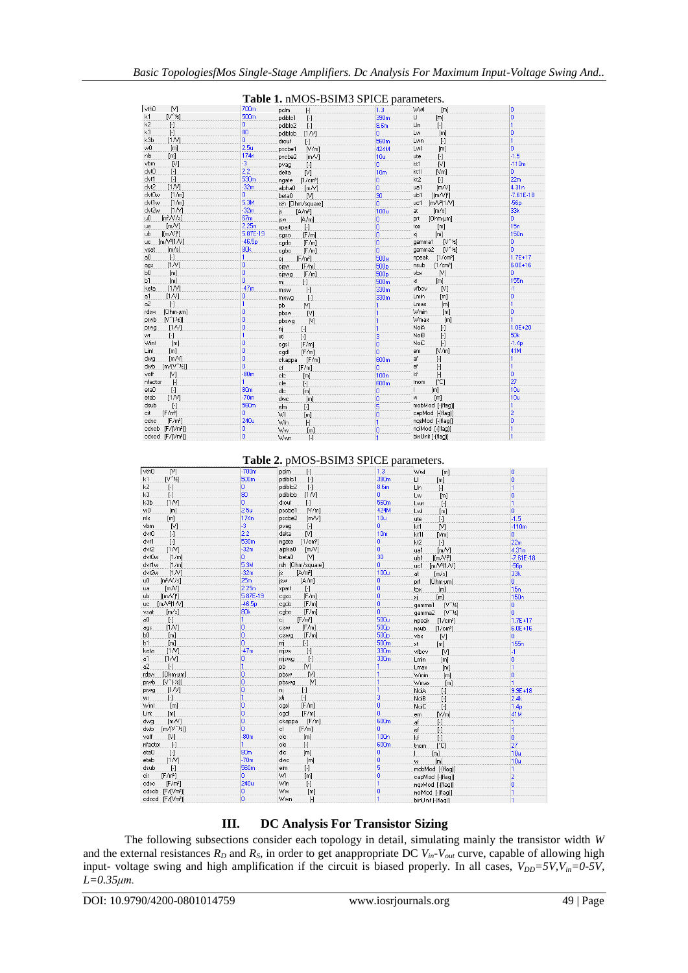|                                           |                  | - <i>.</i>                                 | bomino of red parameters. |                                                                                                                                                                                                            |                  |
|-------------------------------------------|------------------|--------------------------------------------|---------------------------|------------------------------------------------------------------------------------------------------------------------------------------------------------------------------------------------------------|------------------|
| vth0<br>M)                                | 700m             | H<br>pelm                                  | 1.3                       | Wwl<br>[m]                                                                                                                                                                                                 | 0                |
| $N^{\wedge}$ $\leq$<br>k1                 | 500m             | pdiblc1<br>$[\cdot]$                       | 390m                      | $\sqcup$<br>[m]                                                                                                                                                                                            | 0                |
| k <sub>2</sub><br>$\lbrack \cdot \rbrack$ | 0                | pdiblc2<br>H                               | 8.6m                      | LIn<br>$[\cdot]$                                                                                                                                                                                           | 1                |
| k3<br>$\lbrack \cdot \rbrack$             | 80               | [1N]<br>pdiblcb                            | ō                         | Lw<br>[m]                                                                                                                                                                                                  | o                |
| k3b<br>[1N]                               | Ō.               | drout<br>$\lbrack \cdot \rbrack$           | 560 <sub>m</sub>          | Lwn<br>$[ \cdot ]$                                                                                                                                                                                         | 1                |
| wŪ<br>[ <sub>m</sub> ]                    | 2.5u             | [N/m]<br>pscbe1                            | 424M                      | Lwl<br>[m]                                                                                                                                                                                                 | Ō.               |
| nlx<br>[ <sub>m</sub> ]                   | 174n             | pscbe2<br>[m/V]                            | 10u                       | $[\cdot]$<br>ute                                                                                                                                                                                           | $-1.5$           |
| [V]<br>vbm                                | -3               | pvag<br>$[\cdot]$                          | o.                        | kt1<br>[V]                                                                                                                                                                                                 | $-110m$          |
| dvt0<br>$\left[ \cdot \right]$            | 2.2              | M<br>delta                                 | 10 <sub>m</sub>           | kt1l<br>[Vm]                                                                                                                                                                                               | Ō.               |
| dvt1<br>$[\cdot]$                         | 530 <sub>m</sub> | [1/cm <sup>3</sup> ]<br>ngate              | o                         | $[\cdot]$<br>kt2                                                                                                                                                                                           | 22m              |
| dvt2<br>[1N]                              | $-32m$           | alpha0<br>[m/V]                            | ö                         | [m/V]<br>ua1                                                                                                                                                                                               | 4.31n            |
| dvt0w<br>[1/m]                            | Ō.               | N<br>beta0                                 | 30                        | $[$ [m $N$ $F]$ ]<br>ub1                                                                                                                                                                                   | $-7.61E - 18$    |
| dvt1w<br>[1/m]                            | 5.3M             | rsh [Ohm/square]                           | o                         | $[m/\sqrt{2}]1/\sqrt{3}$<br>uc1                                                                                                                                                                            | $-56p$           |
| dvt2w<br>[1N]                             | $-32m$           | [A/m <sup>2</sup> ]<br>is                  | 100u                      | at<br>[m/s]                                                                                                                                                                                                | 33k              |
| $[m^2/V/s]$<br>u0                         | 67m              | [A/m]<br>jsw                               | 0                         | prt<br>[Ohm-um]                                                                                                                                                                                            | ö                |
| [mN]<br>ua                                | 2.25n            | $[ \cdot ]$<br>.xpart                      | ö                         | [m]<br>tox                                                                                                                                                                                                 | 15n              |
| $[$ [m $\sqrt{r}]$ ]<br>ub                | 5.87E-19         | [F/m]<br>cgso                              | ö                         | [m]<br>×i.                                                                                                                                                                                                 | 150 <sub>n</sub> |
| [mN <sup>2</sup> ]N]<br>uc.               | $-46.5p$         | [F/m]<br>cgdo                              | ö                         | $[V^{\prime}$<br>gamma1                                                                                                                                                                                    | o                |
| [m/s]<br>vsat                             | 80 <sub>k</sub>  | [F/m]<br>cgbo                              | ö                         | $[V^{\prime\prime}X]$<br>gamma2                                                                                                                                                                            | ñ                |
| $[\cdot]$<br>аO                           |                  | [F/m <sup>2</sup> ]<br>ci                  | 500u                      | [1/cm <sup>3</sup> ]<br>npeak                                                                                                                                                                              | $1.7E + 17$      |
| [1N]<br>ags                               | o                | cisw.<br>[F/m]                             | 500 <sub>p</sub>          | nsub<br>[1/cm <sup>3</sup> ]                                                                                                                                                                               | $6.0E + 16$      |
| b <sub>0</sub><br>[m]                     | Ō.               | [F/m]<br>ciswg                             | 500 <sub>p</sub>          | vbx<br>N                                                                                                                                                                                                   | n                |
| b1<br>[m]                                 | ö                | H<br>.mj                                   | 500 <sub>m</sub>          | [m]<br>xt                                                                                                                                                                                                  | 155 <sub>n</sub> |
| keta<br>[1N]                              | $-47m$           | $[\cdot]$<br>misw                          | 330m                      | vfbcv<br>[V]                                                                                                                                                                                               | -1               |
| a1<br>[1N]                                | ٥                | $[\cdot]$<br>miswg.                        | 330m                      | <b>Lmin</b><br>[m]                                                                                                                                                                                         | Ō.               |
| $[\cdot]$<br>a2                           |                  | M)<br>pb                                   |                           | [m]<br>Lmax                                                                                                                                                                                                | 1                |
| [Ohm-um]<br>rdsw                          | o                | [V]<br>pbsw                                | 1                         | Wmin<br>[m]                                                                                                                                                                                                | o                |
| $[V^{\wedge}[\cdot \frac{1}{2}]]$<br>prwb | ö                | [1]<br>pbswg                               | 1                         | Wmax<br>[m]                                                                                                                                                                                                | 1                |
| [1N]<br>prwg                              | ō                | .nj<br>$[\cdot]$                           | 1                         | NoiA<br>$\lbrack \cdot \rbrack$                                                                                                                                                                            | $1.0E + 20$      |
| $[\cdot]$<br>WF                           |                  | $\left[\cdot\right]$<br>.xti               | 3                         | NoiB<br>$\mathbf{F}$                                                                                                                                                                                       | 50 <sub>k</sub>  |
| Wint<br>[m]                               | Ō.               | [F/m]<br>casl                              | o                         | $[\cdot] % \centering % {\includegraphics[width=0.9\textwidth]{images/TrDiS/NR_WU.pdf} \caption{The figure shows the results of the estimators in the left and right.} \label{fig:TrDiS/NR_WU}} %$<br>NoiC | $-1.4p$          |
| Lint<br>[m]                               | ō                | [F/m]<br>cgdl                              | ō                         | [N/m]<br>em                                                                                                                                                                                                | 41M              |
| [m/V]<br>dwg                              | ō                | [F/m]<br>ckappa.                           | 600m                      | af<br>H                                                                                                                                                                                                    | 1                |
| $[m/V^*k]]$<br>dwb                        | ö                | .cf<br>[F/m]                               | ō                         | ef<br>$[\cdot]$                                                                                                                                                                                            | 1                |
| voff<br>M                                 | $-80m$           | cle                                        | 100n                      | kf<br>$[\cdot]$                                                                                                                                                                                            | 0                |
| $[\cdot]$<br>nfactor                      |                  | [ <sub>m</sub> ]<br>cle                    | 600m                      | $[^{\circ}C]$<br>tnom                                                                                                                                                                                      | 27               |
| eta0<br>$[\cdot]$                         | 80 <sub>m</sub>  | $[\cdot]$                                  | ō                         | [ <sub>m</sub> ]                                                                                                                                                                                           | 10u              |
| [1N]<br>etab                              | $-70m$           | dle<br>[m]                                 |                           | [m]<br>w                                                                                                                                                                                                   | 10u              |
| dsub<br>$[ \cdot ]$                       | 560 <sub>m</sub> | dwc<br>[m]                                 | o                         | mobMod [-(flag)]                                                                                                                                                                                           | 1                |
| [F/m <sup>2</sup> ]<br>cit                | o                | elm<br>H                                   | 5                         | capMod [-[flag]]                                                                                                                                                                                           | $\overline{2}$   |
| [F/m <sup>2</sup> ]<br>cdsc               | 240u             | W.<br>[m]                                  | ö                         | ngsMod [-[flag]]                                                                                                                                                                                           | o                |
|                                           | 0                | W <sub>In</sub><br>$\lbrack \cdot \rbrack$ | 1                         |                                                                                                                                                                                                            | 1                |
| cdscb [F/(Vm <sup>2</sup> ]]              | Ō.               | Ww.<br>[m]                                 | 0                         | noiMod [-[flag]]                                                                                                                                                                                           |                  |
| cdscd [F/[Vm2]]                           |                  | Wwn.<br>$\lceil \cdot \rceil$              | 1                         | binUnit [-(flag)]                                                                                                                                                                                          |                  |

#### **Table 1.** nMOS-BSIM3 SPICE parameters.

**Table 2.** pMOS-BSIM3 SPICE parameters.

| vth0<br>N                       | $-700m$          | pelm<br>H.                     | 1.3              | Wwl<br>[m]                                                                                                                                                                                                | ۱o               |
|---------------------------------|------------------|--------------------------------|------------------|-----------------------------------------------------------------------------------------------------------------------------------------------------------------------------------------------------------|------------------|
| $[V^{\wedge}$ $k]$<br>k1        | 500 <sub>m</sub> | pdiblc1<br>$[\cdot]$           | 390m             | LI<br>[m]                                                                                                                                                                                                 | o                |
| k2<br>$[\cdot]$                 | 0                | pdiblc2<br>$[\cdot]$           | 8.6m             | LIn<br>$[\cdot]$                                                                                                                                                                                          | n                |
| k3<br>$[\cdot]$                 | 80               | pdiblcb<br>[1N]                | 0                | [m]<br>Lw                                                                                                                                                                                                 | o                |
| k3b<br>[1N]                     | ō                | drout<br>$[\cdot]$             | 560 <sub>m</sub> | Lwn<br>$[\cdot] % \centering % {\includegraphics[width=0.9\textwidth]{images/TrDiS/NR_WU.pdf} \caption{The figure shows the results of the estimators in the left and right.} \label{fig:TrDiS/NR_WU}} %$ | 1                |
| [m]<br>wŪ                       | 2.5 <sub>u</sub> | pscbe1<br>[N/m]                | 424M             | Lwl<br>[m]                                                                                                                                                                                                | o                |
| nlx<br>[m]                      | 174n             | pscbe2<br>[m/V]                | 10u              | ute<br>$[\cdot]$                                                                                                                                                                                          | $-1.5$           |
| [1]<br>vbm                      | -3               | pvag<br>$[\cdot]$              | o                | M)<br>kt1                                                                                                                                                                                                 | $-110m$          |
| dvt0<br>$\lbrack \cdot \rbrack$ | 2.2              | M)<br>delta                    | 10 <sub>m</sub>  | kt1l<br>[Vm]                                                                                                                                                                                              | Ō.               |
| dvt1<br>$\lbrack \cdot \rbrack$ | 530m             | [1/cm <sup>3</sup> ]<br>ngate  | o                | kt2<br>$[\cdot]$                                                                                                                                                                                          | 22m              |
| dvt2<br>[1N]                    | $-32m$           | alpha0<br>[m/V]                | 0                | [m/V]<br>ua1                                                                                                                                                                                              | 4.31n            |
| dvt0w<br>[1/m]                  | 0                | beta0<br>N                     | 30               | [ [m/V]<br>ub1                                                                                                                                                                                            | $-7.61E - 18$    |
| dvt1w<br>[1/m]                  | 5.3M             | rsh [Ohm/square]               | ö                | [mN <sup>2</sup> ]N]<br>uc1                                                                                                                                                                               | $-56p$           |
| dvt2w<br>[1N]                   | $-32m$           | is<br>[A/m <sup>2</sup> ]      | 100u             | [m/s]<br>at                                                                                                                                                                                               | 33k              |
| $[m^2/N/s]$<br>uŪ               | 25m              | isw<br>[A/m]                   | 0                | [Ohm-um]<br>prt                                                                                                                                                                                           | o                |
| [m/V]<br>ua                     | 2.25n            | $[\cdot]$<br>xpart             | ö                | [m]<br>tox                                                                                                                                                                                                | 15n              |
| [ImN]<br>ub                     | 5.87E-19         | [F/m]<br>cgso                  | o                | ×i.<br>[m]                                                                                                                                                                                                | 150 <sub>n</sub> |
| $[m/V2]$ 1/V]<br>uc             | $-46.5p$         | [F/m]<br>cgdo                  | ö                | $[N^{\wedge}12]$<br>gamma1                                                                                                                                                                                | ۵                |
| [m/s]<br>vsat                   | 80 <sub>k</sub>  | cgbo<br>[F/m]                  | ō                | $N^{\wedge}$ $\{k\}$<br>gamma2                                                                                                                                                                            | ö                |
| $[\cdot]$<br>a0                 | 1                | [F/m <sup>2</sup> ]<br>cj      | 500u             | npeak<br>$[1/\text{cm}^3]$                                                                                                                                                                                | $1.7E + 17$      |
| [1N]<br>ags                     | 0                | cisw<br>[F/m]                  | 500 <sub>p</sub> | nsub<br>[1/cm <sup>3</sup> ]                                                                                                                                                                              | $6.0E + 16$      |
| bО<br>[m]                       | ö                | [F/m]<br>ciswq                 | 500 <sub>p</sub> | vbx<br>[1]                                                                                                                                                                                                | ۵                |
| [ <sub>m</sub> ]<br>Ь1          | o                | $[\cdot]$<br>mį                | 500 <sub>m</sub> | xt.<br>[m]                                                                                                                                                                                                | 155 <sub>n</sub> |
| [1N]<br>keta                    | $-47m$           | H<br>misw                      | 330m             | vfbcv<br>[ <sub>N</sub> ]                                                                                                                                                                                 | -1               |
| [1N]<br>a1                      | o                | $[\cdot]$<br>mjswg             | 330m             | Lmin<br>[m]                                                                                                                                                                                               | o                |
| a <sup>2</sup><br>$[\cdot]$     | 1                | <b>pb</b><br>M                 |                  | Lmax<br>[m]                                                                                                                                                                                               | 1                |
| rdsw<br>[Ohm-um]                | 0                | M<br>pbsw                      | 1                | Wmin<br>[m]                                                                                                                                                                                               | n                |
| $N^{\gamma}$ [-½]]<br>prwb      | ö                | M<br>pbswq                     |                  | Wmax<br>[m]                                                                                                                                                                                               | 1                |
| [1N]<br>prwg                    | 0                | nį<br>$[\cdot]$                | 1                | NoiA<br>$[\cdot]$                                                                                                                                                                                         | $9.9E + 18$      |
| H<br>WF                         | 1                | xti<br>$[\cdot]$               | 3                | NoiB<br>$[\cdot]$                                                                                                                                                                                         | 2.4k             |
| Wint<br>[m]                     | o                | cgsl<br>[F/m]                  | 0                | NoiC<br>$[\cdot]$                                                                                                                                                                                         | 1.4 <sub>p</sub> |
| Lint<br>[ <sub>m</sub> ]        | ö                | cadl<br>[F/m]                  | ö                | N/m<br>em                                                                                                                                                                                                 | 41M              |
| [mN]<br>dwg                     | o                | ckappa<br>[F/m]                | 600 <sub>m</sub> | af<br>$\left[\cdot\right]$                                                                                                                                                                                | 1                |
| $[m/V^2E]$<br>dwb               | ö                | cf<br>[F/m]                    | ٥                | $\lbrack \cdot \rbrack$<br>lef                                                                                                                                                                            | 1                |
| voff<br>M.                      | $-80m$           | clc<br>[m]                     | 100n             | kf<br>$[\cdot]$                                                                                                                                                                                           | o                |
| nfactor<br>$[\cdot]$            |                  | cle<br>$[\cdot]$               | 600m             | [°C]<br>tnom                                                                                                                                                                                              | 27               |
| etaO<br>$[\cdot]$               | 80 <sub>m</sub>  | dle<br>[m]                     | ٥                | [m]                                                                                                                                                                                                       | 10u              |
| [1N]<br>etab                    | $-70m$           | dwc<br>[m]                     | 0                | [m]<br>W                                                                                                                                                                                                  | 10u              |
| $[\cdot]$<br>dsub               | 560m             | elm<br>$[\cdot]$               | 5                | mobMod [-[flag]]                                                                                                                                                                                          | 1                |
| [F/m <sup>2</sup> ]<br>cit      | Ū.               | WI<br>[m]                      | ō                | capMod [-[flag]]                                                                                                                                                                                          | 2                |
| cdsc<br>[F/m <sup>2</sup> ]     | 240u             | Wln<br>$\lbrack \cdot \rbrack$ |                  | ngsMod [-(flag)]                                                                                                                                                                                          | o                |
| cdscb [F/[Vm2]]                 | 0                | Ww<br>[ <sub>m</sub> ]         | ٥                | noiMod [-[flag]]                                                                                                                                                                                          |                  |
| cdscd [F/(Vm2)]                 | o                | Wwn<br>$\lbrack \cdot \rbrack$ | 1                | binUnit [-(flag)]                                                                                                                                                                                         |                  |

## **III. DC Analysis For Transistor Sizing**

The following subsections consider each topology in detail, simulating mainly the transistor width *W* and the external resistances  $R_D$  and  $R_S$ , in order to get anappropriate DC  $V_{in}$ <sup>*-V<sub>out</sub>* curve, capable of allowing high</sup> input- voltage swing and high amplification if the circuit is biased properly. In all cases,  $V_{DD} = 5V$ ,  $V_{in} = 0.5V$ , *L=0.35μm.*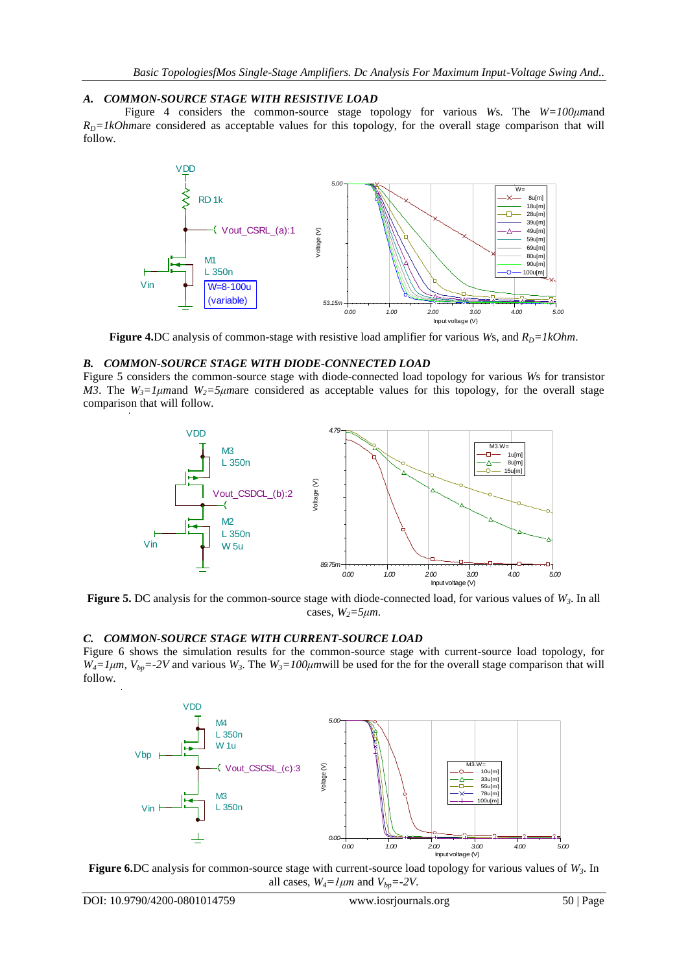## *A. COMMON-SOURCE STAGE WITH RESISTIVE LOAD*

Figure 4 considers the common-source stage topology for various *W*s. The *W=100μm*and  $R<sub>D</sub>=1kOhmare considered as acceptable values for this topology, for the overall stage comparison that will$ follow.



**Figure 4.**DC analysis of common-stage with resistive load amplifier for various *Ws*, and  $R_D = lkOhm$ .

#### *B. COMMON-SOURCE STAGE WITH DIODE-CONNECTED LOAD*

Figure 5 considers the common-source stage with diode-connected load topology for various *W*s for transistor *M3*. The  $W_3 = 1 \mu$  mand  $W_2 = 5 \mu$  mare considered as acceptable values for this topology, for the overall stage comparison that will follow.



**Figure 5.** DC analysis for the common-source stage with diode-connected load, for various values of *W3*. In all cases,  $W_2 = 5 \mu m$ .

#### *C. COMMON-SOURCE STAGE WITH CURRENT-SOURCE LOAD*

Figure 6 shows the simulation results for the common-source stage with current-source load topology, for  $W_4 = 1 \mu m$ ,  $V_{bp} = -2V$  and various  $W_3$ . The  $W_3 = 100 \mu m$  will be used for the for the overall stage comparison that will follow.



**Figure 6.**DC analysis for common-source stage with current-source load topology for various values of *W3*. In all cases,  $W_4 = l \mu m$  and  $V_{bp} = -2V$ .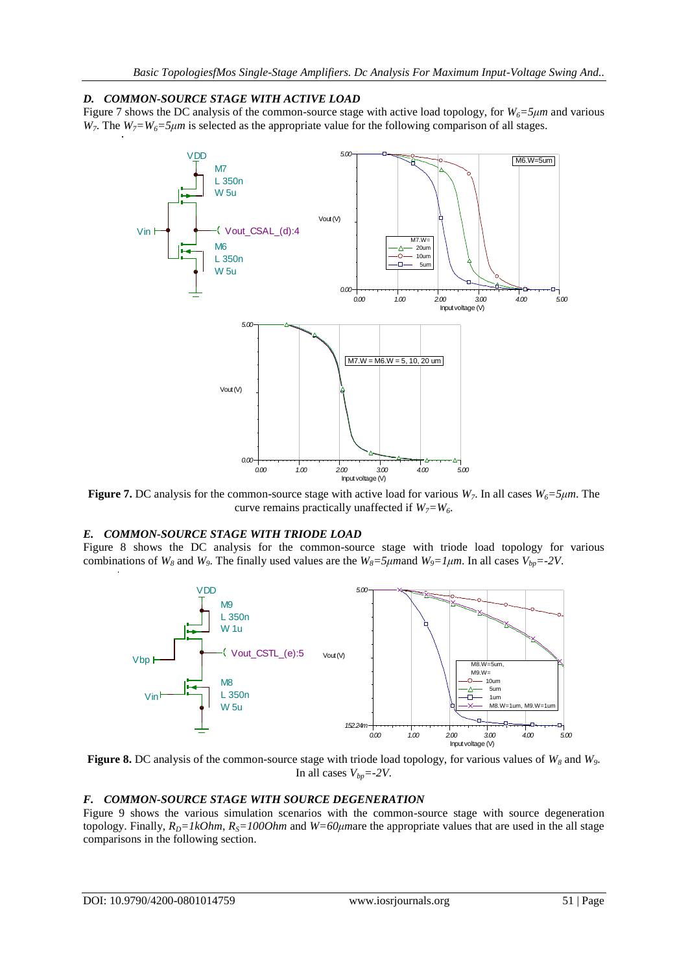## *D. COMMON-SOURCE STAGE WITH ACTIVE LOAD*

Figure 7 shows the DC analysis of the common-source stage with active load topology, for *W6=5μm* and various *W*<sub>7</sub>. The *W*<sub>7</sub>=*W*<sub>6</sub>=5μm is selected as the appropriate value for the following comparison of all stages.



**Figure 7.** DC analysis for the common-source stage with active load for various  $W_7$ . In all cases  $W_6 = 5 \mu m$ . The curve remains practically unaffected if  $W_7 = W_6$ .

## *E. COMMON-SOURCE STAGE WITH TRIODE LOAD*

Figure 8 shows the DC analysis for the common-source stage with triode load topology for various combinations of  $W_8$  and  $W_9$ . The finally used values are the  $W_8 = 5\mu$  mand  $W_9 = 1\mu$ m. In all cases  $V_{bp} = -2V$ .



**Figure 8.** DC analysis of the common-source stage with triode load topology, for various values of *W<sup>8</sup>* and *W9*. In all cases  $V_{bp} = -2V$ .

#### *F. COMMON-SOURCE STAGE WITH SOURCE DEGENERATION*

Figure 9 shows the various simulation scenarios with the common-source stage with source degeneration topology. Finally,  $R_D = lkOhm$ ,  $R_S = 100Ohm$  and  $W = 60 \mu m$  are the appropriate values that are used in the all stage comparisons in the following section.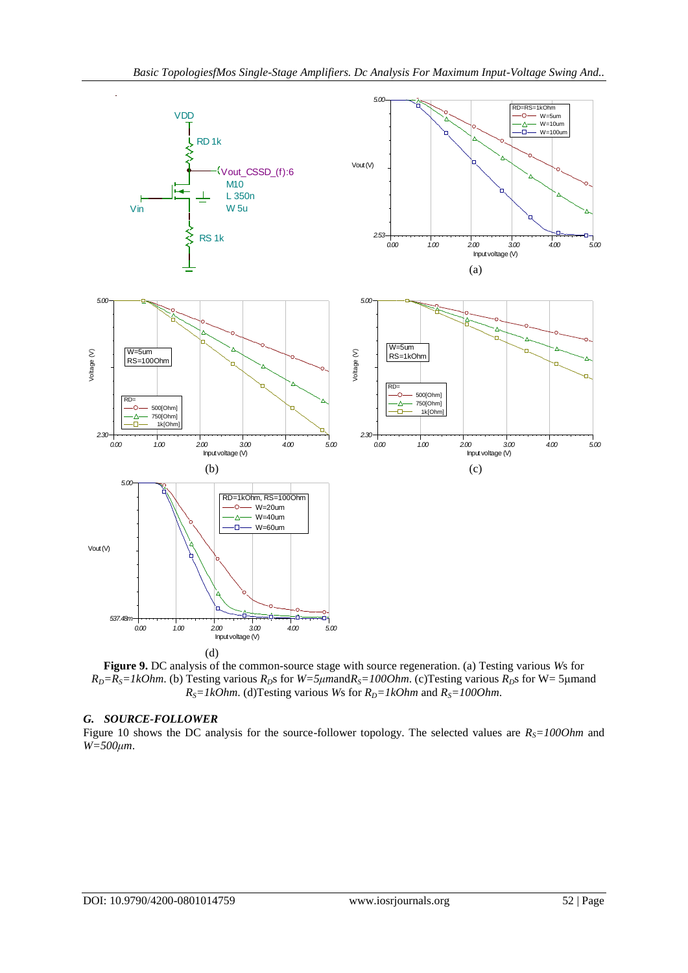

**Figure 9.** DC analysis of the common-source stage with source regeneration. (a) Testing various *W*s for  $R_D = R_S = lkOhm$ . (b) Testing various  $R_D$ s for  $W = 5\mu m$  and  $R_S = 100Ohm$ . (c) Testing various  $R_D$ s for W = 5 μm and  $R_S = lkOhm$ . (d)Testing various *Ws* for  $R_D = lkOhm$  and  $R_S = 100Ohm$ .

#### *G. SOURCE-FOLLOWER*

Figure 10 shows the DC analysis for the source-follower topology. The selected values are  $R<sub>S</sub>=1000$ hm and *W=500μm*.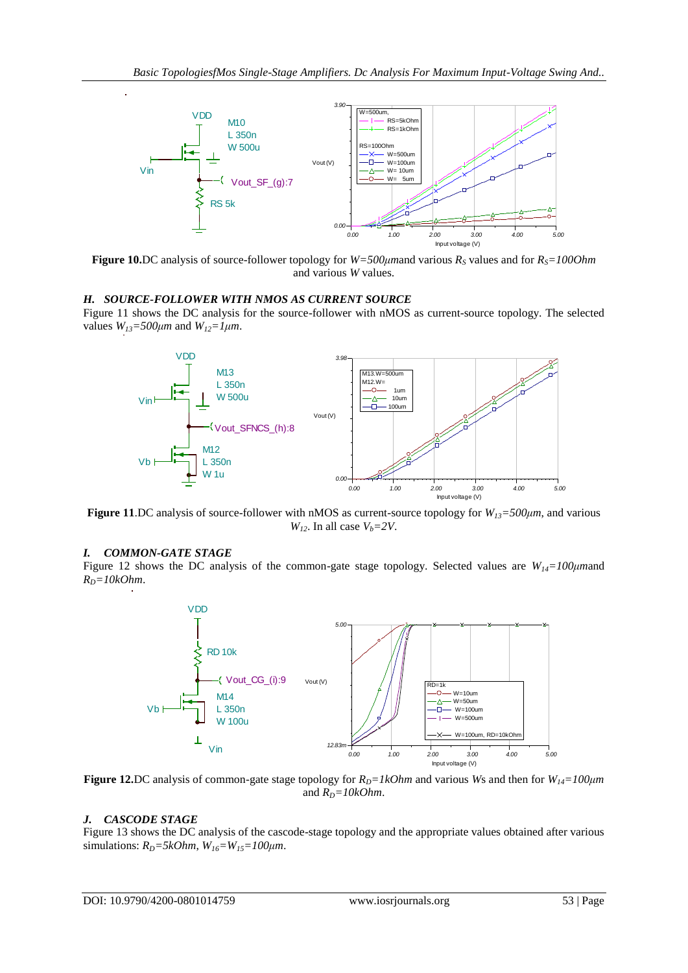

**Figure 10.**DC analysis of source-follower topology for *W=500μm*and various *R<sup>S</sup>* values and for *RS=100Ohm* and various *W* values.

## *H. SOURCE-FOLLOWER WITH NMOS AS CURRENT SOURCE*

Figure 11 shows the DC analysis for the source-follower with nMOS as current-source topology. The selected values  $W_{13} = 500 \mu m$  and  $W_{12} = 1 \mu m$ .



**Figure 11**.DC analysis of source-follower with nMOS as current-source topology for *W13=500μm*, and various *W*<sub>12</sub>. In all case  $V_b = 2V$ .

#### *I. COMMON-GATE STAGE*

Figure 12 shows the DC analysis of the common-gate stage topology. Selected values are *W14=100μm*and  $R_D = 10kOhm$ .



**Figure 12.**DC analysis of common-gate stage topology for  $R_D = lkOhm$  and various *Ws* and then for  $W_{14} = 100 \mu m$ and  $R_D = 10kOhm$ .

#### *J. CASCODE STAGE*

Figure 13 shows the DC analysis of the cascode-stage topology and the appropriate values obtained after various simulations:  $R_D = 5kOhm$ ,  $W_{16} = W_{15} = 100 \mu m$ .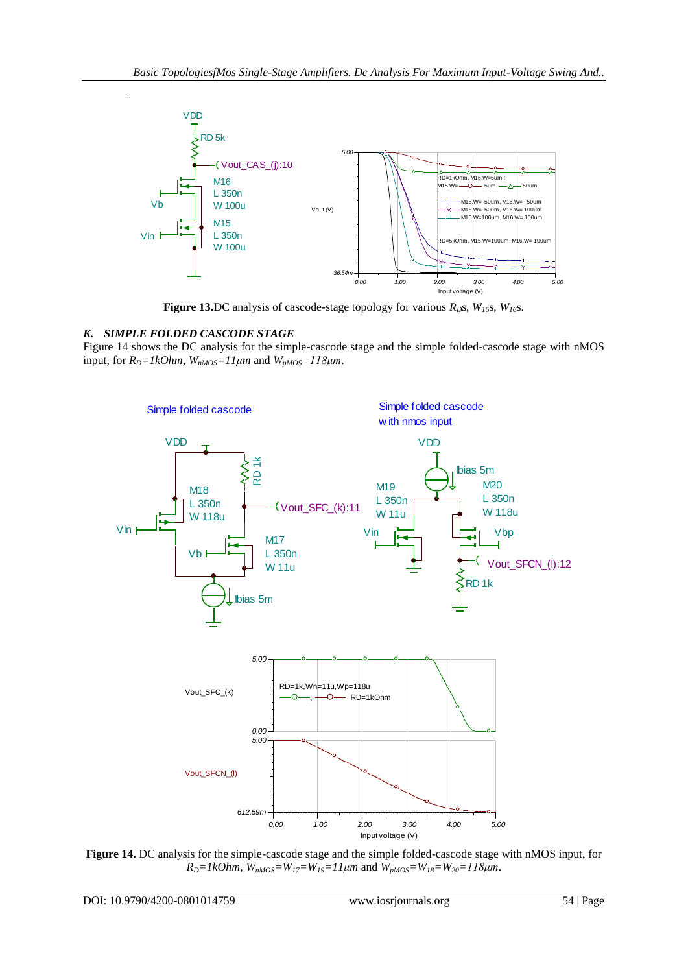

**Figure 13.**DC analysis of cascode-stage topology for various  $R_D$ s,  $W_{15}$ s,  $W_{16}$ s.

# *K. SIMPLE FOLDED CASCODE STAGE*

Figure 14 shows the DC analysis for the simple-cascode stage and the simple folded-cascode stage with nMOS input, for  $R_D = lkOhm$ ,  $W_{nMOS} =11 \mu m$  and  $W_{pMOS} =118 \mu m$ .



**Figure 14.** DC analysis for the simple-cascode stage and the simple folded-cascode stage with nMOS input, for  $R_D = IkOhm$ ,  $\hat{W}_{nMOS} = W_{17} = W_{19} = 11 \mu m$  and  $\hat{W}_{pMOS} = W_{18} = W_{20} = 118 \mu m$ .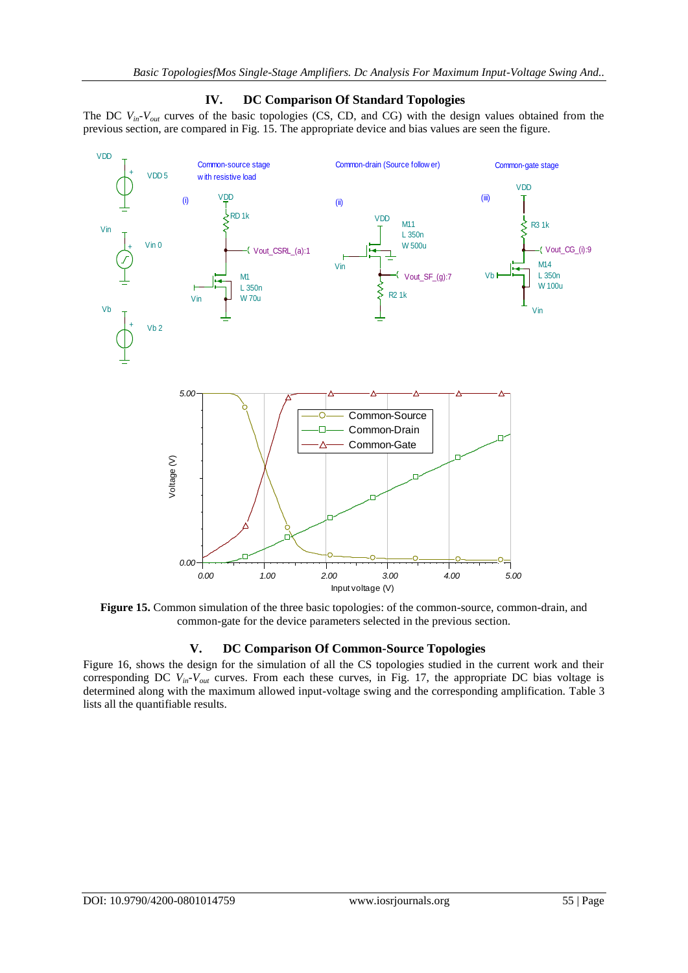

# **IV. DC Comparison Of Standard Topologies**

The DC  $V_{in}$ - $V_{out}$  curves of the basic topologies (CS, CD, and CG) with the design values obtained from the

**Figure 15.** Common simulation of the three basic topologies: of the common-source, common-drain, and common-gate for the device parameters selected in the previous section.

# **V. DC Comparison Of Common-Source Topologies**

Figure 16, shows the design for the simulation of all the CS topologies studied in the current work and their corresponding DC *Vin-Vout* curves. From each these curves, in Fig. 17, the appropriate DC bias voltage is determined along with the maximum allowed input-voltage swing and the corresponding amplification. Table 3 lists all the quantifiable results.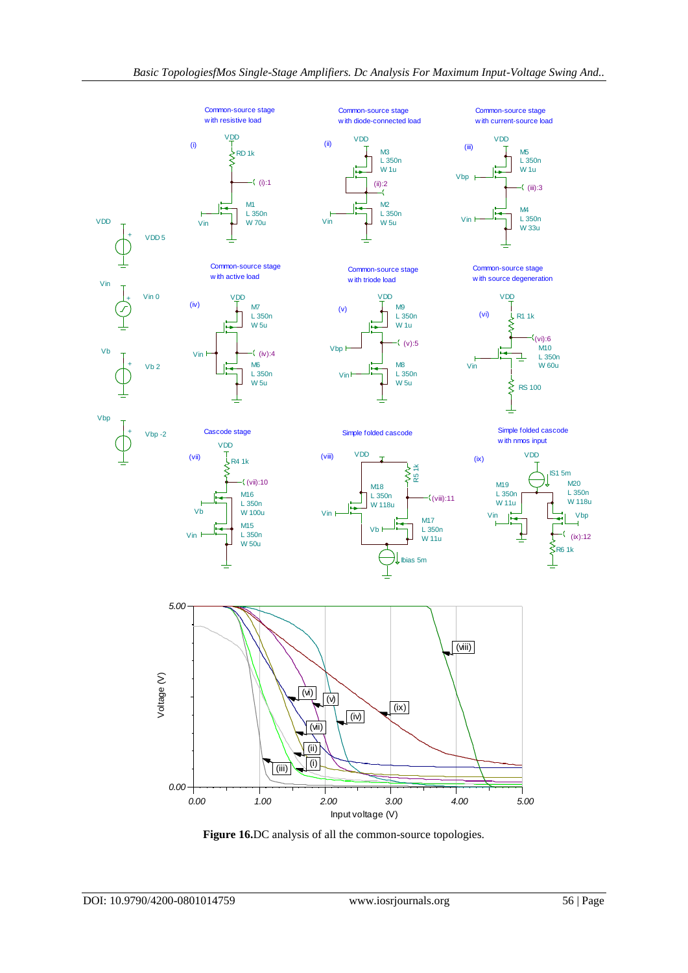

**Figure 16.**DC analysis of all the common-source topologies.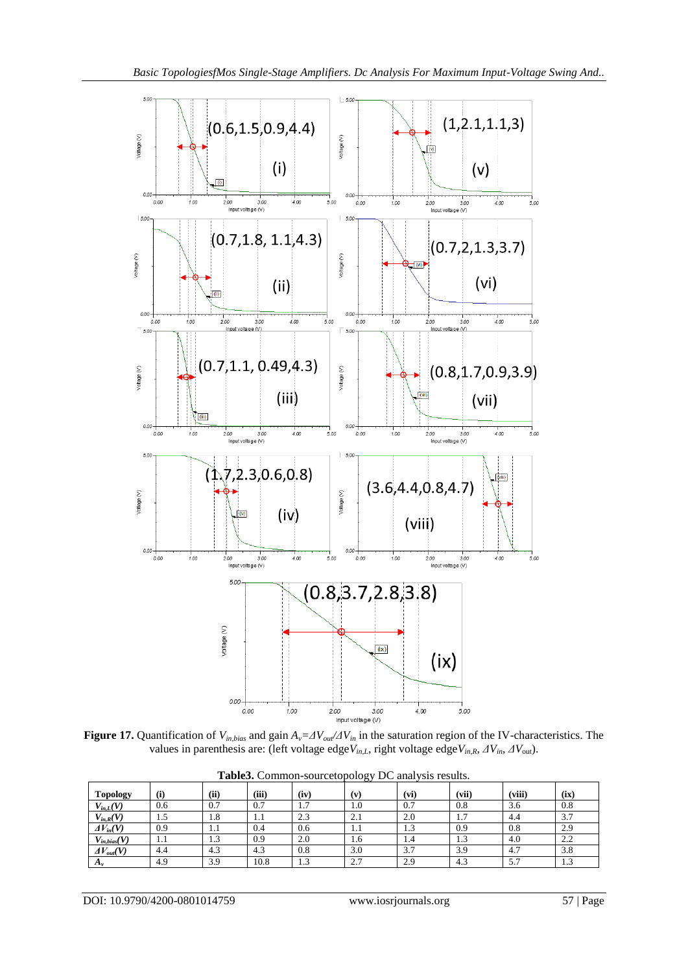

**Figure 17.** Quantification of *Vin,bias* and gain *Av=ΔVout/ΔVin* in the saturation region of the IV-characteristics. The values in parenthesis are: (left voltage edge*Vin,L*, right voltage edge*Vin,R*, *ΔVin*, *ΔV*out).

| <b>Topology</b>     | (i) | (ii)          | (iii)     | (iv)                      | (v) | (vi)     | (vii)               | (viii) | (ix) |
|---------------------|-----|---------------|-----------|---------------------------|-----|----------|---------------------|--------|------|
| $V_{in,L}(V)$       | 0.6 | 0.7           | 0.7       | $\overline{ }$<br>$\cdot$ | 1.0 | 0.7      | 0.8                 | 3.6    | 0.8  |
| $V_{in,R}(V)$       | 1.5 | 1.8           | 1.1       | $\Omega$<br>2.3           | 2.1 | 2.0      | -<br>$\mathbf{1}$ . | 4.4    | 3.7  |
| $\Delta V_{in}(V)$  | 0.9 | 1.1           | 0.4       | 0.6                       | 1.1 | 1.3      | 0.9                 | 0.8    | 2.9  |
| $V_{in, bias}(V)$   | 1.1 | $\sim$<br>1.J | 0.9       | 2.0                       | 1.6 | 1.4      | ن د                 | 4.0    | 2.2  |
| $\Delta V_{out}(V)$ | 4.4 | ໍາ<br>4.3     | ໍາ<br>4.3 | 0.8                       | 3.0 | 37<br>JJ | 3.9                 | 4.7    | 3.8  |
| $\Delta v$          | 4.9 | 3.9           | 10.8      | $\sim$<br>ر…              | 2.7 | 2.9      | 4.3                 | 5.7    | 1.3  |

**Table3.** Common-sourcetopology DC analysis results.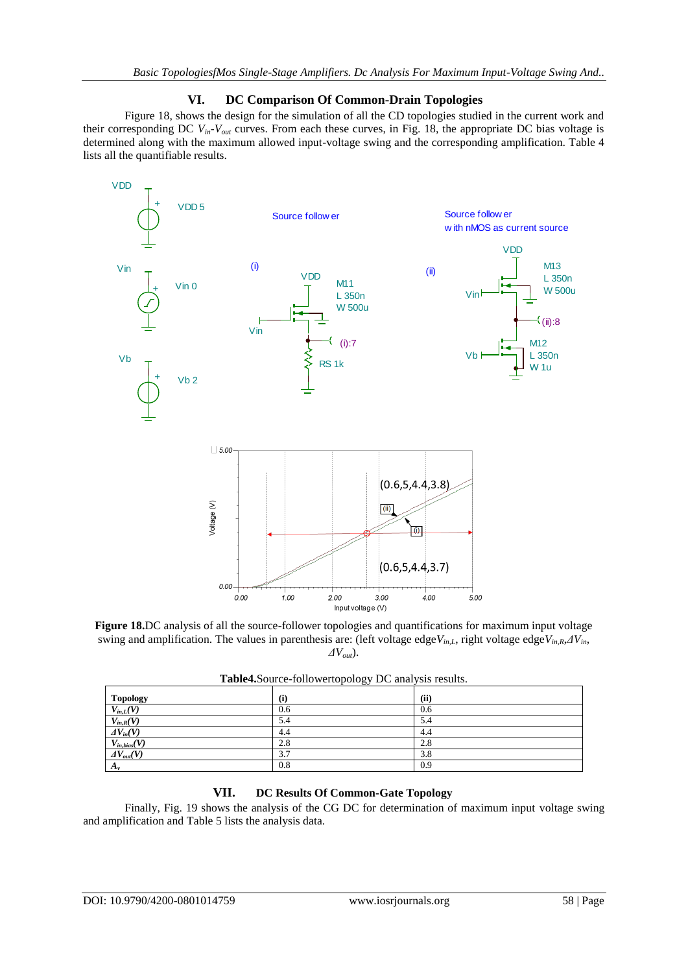## **VI. DC Comparison Of Common-Drain Topologies**

Figure 18, shows the design for the simulation of all the CD topologies studied in the current work and their corresponding DC *Vin-Vout* curves. From each these curves, in Fig. 18, the appropriate DC bias voltage is determined along with the maximum allowed input-voltage swing and the corresponding amplification. Table 4 lists all the quantifiable results.



**Figure 18.**DC analysis of all the source-follower topologies and quantifications for maximum input voltage swing and amplification. The values in parenthesis are: (left voltage edge*Vin,L*, right voltage edge*Vin,R*,*ΔVin*, *ΔVout*).

| - - ------ - - - - - - - - - -       |     |      |  |  |  |
|--------------------------------------|-----|------|--|--|--|
| Topology                             | (i) | (ii) |  |  |  |
| $V_{in,L}(V)$                        | 0.6 | 0.6  |  |  |  |
| $V_{in,R}(V)$                        | 5.4 | 5.4  |  |  |  |
| $AV_{in}(V)$                         | 4.4 | 4.4  |  |  |  |
|                                      | 2.8 | 2.8  |  |  |  |
| $\frac{V_{in,bias}(V)}{AV_{out}(V)}$ | 3.7 | 3.8  |  |  |  |
| $A_{\nu}$                            | 0.8 | 0.9  |  |  |  |
|                                      |     |      |  |  |  |

**Table4.**Source-followertopology DC analysis results.

## **VII. DC Results Of Common-Gate Topology**

Finally, Fig. 19 shows the analysis of the CG DC for determination of maximum input voltage swing and amplification and Table 5 lists the analysis data.